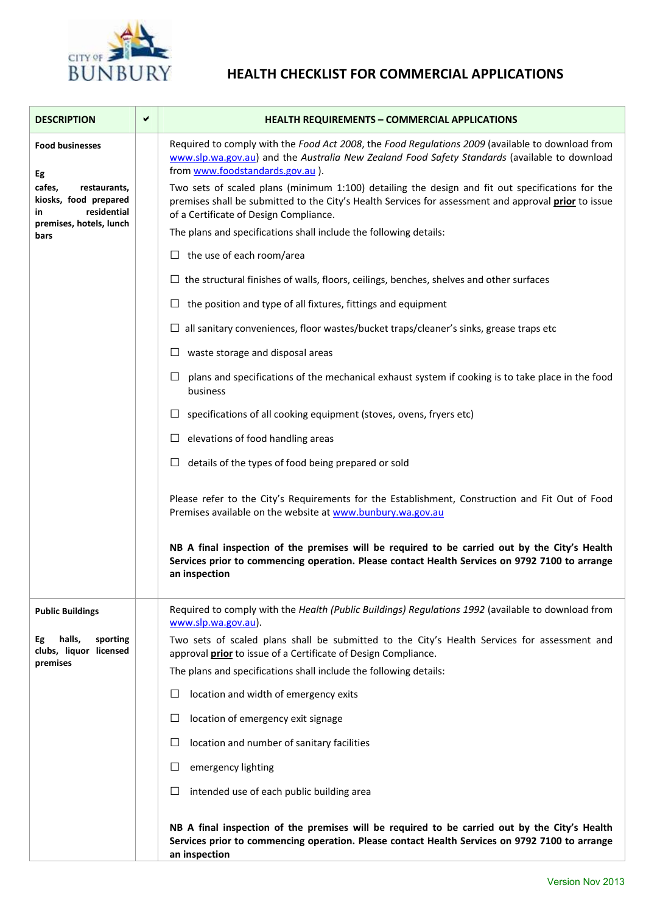

## **HEALTH CHECKLIST FOR COMMERCIAL APPLICATIONS**

| <b>DESCRIPTION</b>                                                                                                                      | ✔ | <b>HEALTH REQUIREMENTS - COMMERCIAL APPLICATIONS</b>                                                                                                                                                                                               |
|-----------------------------------------------------------------------------------------------------------------------------------------|---|----------------------------------------------------------------------------------------------------------------------------------------------------------------------------------------------------------------------------------------------------|
| <b>Food businesses</b><br>Eg<br>cafes,<br>restaurants,<br>kiosks, food prepared<br>residential<br>in<br>premises, hotels, lunch<br>bars |   | Required to comply with the Food Act 2008, the Food Regulations 2009 (available to download from<br>www.slp.wa.gov.au) and the Australia New Zealand Food Safety Standards (available to download<br>from www.foodstandards.gov.au ).              |
|                                                                                                                                         |   | Two sets of scaled plans (minimum 1:100) detailing the design and fit out specifications for the<br>premises shall be submitted to the City's Health Services for assessment and approval prior to issue<br>of a Certificate of Design Compliance. |
|                                                                                                                                         |   | The plans and specifications shall include the following details:                                                                                                                                                                                  |
|                                                                                                                                         |   | $\Box$ the use of each room/area                                                                                                                                                                                                                   |
|                                                                                                                                         |   | $\Box$ the structural finishes of walls, floors, ceilings, benches, shelves and other surfaces                                                                                                                                                     |
|                                                                                                                                         |   | $\Box$ the position and type of all fixtures, fittings and equipment                                                                                                                                                                               |
|                                                                                                                                         |   | $\Box$ all sanitary conveniences, floor wastes/bucket traps/cleaner's sinks, grease traps etc                                                                                                                                                      |
|                                                                                                                                         |   | waste storage and disposal areas<br>ப                                                                                                                                                                                                              |
|                                                                                                                                         |   | plans and specifications of the mechanical exhaust system if cooking is to take place in the food<br>⊔<br>business                                                                                                                                 |
|                                                                                                                                         |   | specifications of all cooking equipment (stoves, ovens, fryers etc)<br>ப                                                                                                                                                                           |
|                                                                                                                                         |   | elevations of food handling areas<br>ப                                                                                                                                                                                                             |
|                                                                                                                                         |   | details of the types of food being prepared or sold<br>⊔                                                                                                                                                                                           |
|                                                                                                                                         |   | Please refer to the City's Requirements for the Establishment, Construction and Fit Out of Food<br>Premises available on the website at www.bunbury.wa.gov.au                                                                                      |
|                                                                                                                                         |   | NB A final inspection of the premises will be required to be carried out by the City's Health<br>Services prior to commencing operation. Please contact Health Services on 9792 7100 to arrange<br>an inspection                                   |
| <b>Public Buildings</b>                                                                                                                 |   | Required to comply with the Health (Public Buildings) Regulations 1992 (available to download from<br>www.slp.wa.gov.au).                                                                                                                          |
| halls,<br>sporting<br>Eg<br>clubs, liquor licensed<br>premises                                                                          |   | Two sets of scaled plans shall be submitted to the City's Health Services for assessment and<br>approval prior to issue of a Certificate of Design Compliance.                                                                                     |
|                                                                                                                                         |   | The plans and specifications shall include the following details:                                                                                                                                                                                  |
|                                                                                                                                         |   | location and width of emergency exits<br>⊔                                                                                                                                                                                                         |
|                                                                                                                                         |   | □<br>location of emergency exit signage                                                                                                                                                                                                            |
|                                                                                                                                         |   | □<br>location and number of sanitary facilities                                                                                                                                                                                                    |
|                                                                                                                                         |   | emergency lighting<br>$\Box$                                                                                                                                                                                                                       |
|                                                                                                                                         |   | intended use of each public building area<br>⊔                                                                                                                                                                                                     |
|                                                                                                                                         |   | NB A final inspection of the premises will be required to be carried out by the City's Health<br>Services prior to commencing operation. Please contact Health Services on 9792 7100 to arrange<br>an inspection                                   |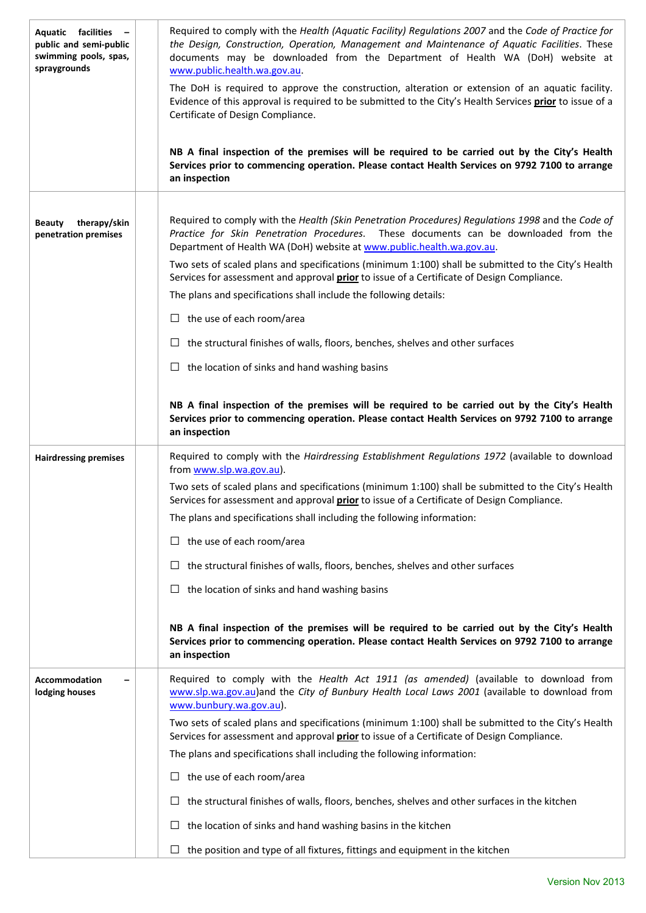| <b>Aquatic</b> facilities<br>$\overline{\phantom{0}}$<br>public and semi-public<br>swimming pools, spas,<br>spraygrounds | Required to comply with the Health (Aquatic Facility) Regulations 2007 and the Code of Practice for<br>the Design, Construction, Operation, Management and Maintenance of Aquatic Facilities. These<br>documents may be downloaded from the Department of Health WA (DoH) website at<br>www.public.health.wa.gov.au.<br>The DoH is required to approve the construction, alteration or extension of an aquatic facility.<br>Evidence of this approval is required to be submitted to the City's Health Services prior to issue of a<br>Certificate of Design Compliance.<br>NB A final inspection of the premises will be required to be carried out by the City's Health<br>Services prior to commencing operation. Please contact Health Services on 9792 7100 to arrange<br>an inspection |
|--------------------------------------------------------------------------------------------------------------------------|----------------------------------------------------------------------------------------------------------------------------------------------------------------------------------------------------------------------------------------------------------------------------------------------------------------------------------------------------------------------------------------------------------------------------------------------------------------------------------------------------------------------------------------------------------------------------------------------------------------------------------------------------------------------------------------------------------------------------------------------------------------------------------------------|
|                                                                                                                          |                                                                                                                                                                                                                                                                                                                                                                                                                                                                                                                                                                                                                                                                                                                                                                                              |
| therapy/skin<br><b>Beauty</b><br>penetration premises                                                                    | Required to comply with the Health (Skin Penetration Procedures) Regulations 1998 and the Code of<br>Practice for Skin Penetration Procedures. These documents can be downloaded from the<br>Department of Health WA (DoH) website at www.public.health.wa.gov.au.                                                                                                                                                                                                                                                                                                                                                                                                                                                                                                                           |
|                                                                                                                          | Two sets of scaled plans and specifications (minimum 1:100) shall be submitted to the City's Health<br>Services for assessment and approval <b>prior</b> to issue of a Certificate of Design Compliance.                                                                                                                                                                                                                                                                                                                                                                                                                                                                                                                                                                                     |
|                                                                                                                          | The plans and specifications shall include the following details:                                                                                                                                                                                                                                                                                                                                                                                                                                                                                                                                                                                                                                                                                                                            |
|                                                                                                                          | $\Box$ the use of each room/area                                                                                                                                                                                                                                                                                                                                                                                                                                                                                                                                                                                                                                                                                                                                                             |
|                                                                                                                          | $\Box$ the structural finishes of walls, floors, benches, shelves and other surfaces                                                                                                                                                                                                                                                                                                                                                                                                                                                                                                                                                                                                                                                                                                         |
|                                                                                                                          | $\Box$ the location of sinks and hand washing basins                                                                                                                                                                                                                                                                                                                                                                                                                                                                                                                                                                                                                                                                                                                                         |
|                                                                                                                          | NB A final inspection of the premises will be required to be carried out by the City's Health<br>Services prior to commencing operation. Please contact Health Services on 9792 7100 to arrange<br>an inspection                                                                                                                                                                                                                                                                                                                                                                                                                                                                                                                                                                             |
| <b>Hairdressing premises</b>                                                                                             | Required to comply with the Hairdressing Establishment Regulations 1972 (available to download<br>from www.slp.wa.gov.au).                                                                                                                                                                                                                                                                                                                                                                                                                                                                                                                                                                                                                                                                   |
|                                                                                                                          | Two sets of scaled plans and specifications (minimum 1:100) shall be submitted to the City's Health<br>Services for assessment and approval <b>prior</b> to issue of a Certificate of Design Compliance.                                                                                                                                                                                                                                                                                                                                                                                                                                                                                                                                                                                     |
|                                                                                                                          | The plans and specifications shall including the following information:                                                                                                                                                                                                                                                                                                                                                                                                                                                                                                                                                                                                                                                                                                                      |
|                                                                                                                          | $\Box$ the use of each room/area                                                                                                                                                                                                                                                                                                                                                                                                                                                                                                                                                                                                                                                                                                                                                             |
|                                                                                                                          | the structural finishes of walls, floors, benches, shelves and other surfaces<br>ப                                                                                                                                                                                                                                                                                                                                                                                                                                                                                                                                                                                                                                                                                                           |
|                                                                                                                          | $\Box$ the location of sinks and hand washing basins                                                                                                                                                                                                                                                                                                                                                                                                                                                                                                                                                                                                                                                                                                                                         |
|                                                                                                                          | NB A final inspection of the premises will be required to be carried out by the City's Health<br>Services prior to commencing operation. Please contact Health Services on 9792 7100 to arrange<br>an inspection                                                                                                                                                                                                                                                                                                                                                                                                                                                                                                                                                                             |
| Accommodation<br>lodging houses                                                                                          | Required to comply with the Health Act 1911 (as amended) (available to download from<br>www.slp.wa.gov.au)and the City of Bunbury Health Local Laws 2001 (available to download from<br>www.bunbury.wa.gov.au).                                                                                                                                                                                                                                                                                                                                                                                                                                                                                                                                                                              |
|                                                                                                                          | Two sets of scaled plans and specifications (minimum 1:100) shall be submitted to the City's Health<br>Services for assessment and approval <i>prior</i> to issue of a Certificate of Design Compliance.                                                                                                                                                                                                                                                                                                                                                                                                                                                                                                                                                                                     |
|                                                                                                                          | The plans and specifications shall including the following information:                                                                                                                                                                                                                                                                                                                                                                                                                                                                                                                                                                                                                                                                                                                      |
|                                                                                                                          | $\Box$ the use of each room/area                                                                                                                                                                                                                                                                                                                                                                                                                                                                                                                                                                                                                                                                                                                                                             |
|                                                                                                                          | $\Box$ the structural finishes of walls, floors, benches, shelves and other surfaces in the kitchen                                                                                                                                                                                                                                                                                                                                                                                                                                                                                                                                                                                                                                                                                          |
|                                                                                                                          | the location of sinks and hand washing basins in the kitchen<br>ப                                                                                                                                                                                                                                                                                                                                                                                                                                                                                                                                                                                                                                                                                                                            |
|                                                                                                                          | $\Box$ the position and type of all fixtures, fittings and equipment in the kitchen                                                                                                                                                                                                                                                                                                                                                                                                                                                                                                                                                                                                                                                                                                          |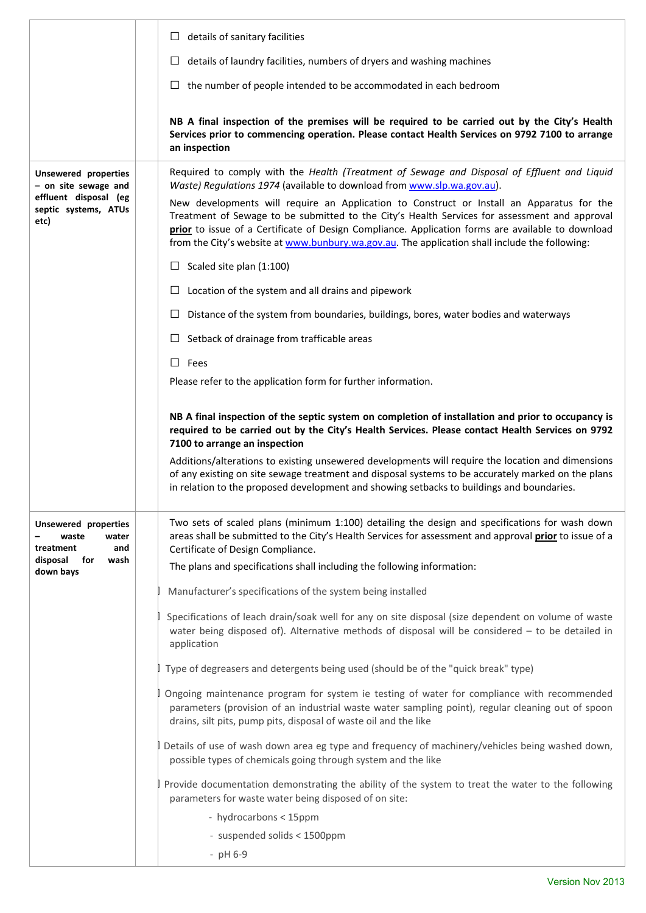|                                                                                                              | details of sanitary facilities<br>⊔                                                                                                                                                                                                                                                                                                                                                               |
|--------------------------------------------------------------------------------------------------------------|---------------------------------------------------------------------------------------------------------------------------------------------------------------------------------------------------------------------------------------------------------------------------------------------------------------------------------------------------------------------------------------------------|
|                                                                                                              | details of laundry facilities, numbers of dryers and washing machines                                                                                                                                                                                                                                                                                                                             |
|                                                                                                              | $\Box$ the number of people intended to be accommodated in each bedroom                                                                                                                                                                                                                                                                                                                           |
|                                                                                                              | NB A final inspection of the premises will be required to be carried out by the City's Health<br>Services prior to commencing operation. Please contact Health Services on 9792 7100 to arrange<br>an inspection                                                                                                                                                                                  |
| <b>Unsewered properties</b><br>- on site sewage and<br>effluent disposal (eg<br>septic systems, ATUs<br>etc) | Required to comply with the Health (Treatment of Sewage and Disposal of Effluent and Liquid<br>Waste) Regulations 1974 (available to download from www.slp.wa.gov.au).                                                                                                                                                                                                                            |
|                                                                                                              | New developments will require an Application to Construct or Install an Apparatus for the<br>Treatment of Sewage to be submitted to the City's Health Services for assessment and approval<br>prior to issue of a Certificate of Design Compliance. Application forms are available to download<br>from the City's website at www.bunbury.wa.gov.au. The application shall include the following: |
|                                                                                                              | $\Box$ Scaled site plan (1:100)                                                                                                                                                                                                                                                                                                                                                                   |
|                                                                                                              | Location of the system and all drains and pipework                                                                                                                                                                                                                                                                                                                                                |
|                                                                                                              | Distance of the system from boundaries, buildings, bores, water bodies and waterways                                                                                                                                                                                                                                                                                                              |
|                                                                                                              | Setback of drainage from trafficable areas                                                                                                                                                                                                                                                                                                                                                        |
|                                                                                                              | $\Box$ Fees                                                                                                                                                                                                                                                                                                                                                                                       |
|                                                                                                              | Please refer to the application form for further information.                                                                                                                                                                                                                                                                                                                                     |
|                                                                                                              | NB A final inspection of the septic system on completion of installation and prior to occupancy is<br>required to be carried out by the City's Health Services. Please contact Health Services on 9792<br>7100 to arrange an inspection                                                                                                                                                           |
|                                                                                                              | Additions/alterations to existing unsewered developments will require the location and dimensions<br>of any existing on site sewage treatment and disposal systems to be accurately marked on the plans<br>in relation to the proposed development and showing setbacks to buildings and boundaries.                                                                                              |
| Unsewered properties<br>waste<br>water<br>treatment<br>and<br>disposal<br>for<br>wash<br>down bays           | Two sets of scaled plans (minimum 1:100) detailing the design and specifications for wash down<br>areas shall be submitted to the City's Health Services for assessment and approval <i>prior</i> to issue of a<br>Certificate of Design Compliance.                                                                                                                                              |
|                                                                                                              |                                                                                                                                                                                                                                                                                                                                                                                                   |
|                                                                                                              | The plans and specifications shall including the following information:                                                                                                                                                                                                                                                                                                                           |
|                                                                                                              | Manufacturer's specifications of the system being installed                                                                                                                                                                                                                                                                                                                                       |
|                                                                                                              | Specifications of leach drain/soak well for any on site disposal (size dependent on volume of waste<br>water being disposed of). Alternative methods of disposal will be considered $-$ to be detailed in<br>application                                                                                                                                                                          |
|                                                                                                              | Type of degreasers and detergents being used (should be of the "quick break" type)                                                                                                                                                                                                                                                                                                                |
|                                                                                                              | Ongoing maintenance program for system ie testing of water for compliance with recommended<br>parameters (provision of an industrial waste water sampling point), regular cleaning out of spoon<br>drains, silt pits, pump pits, disposal of waste oil and the like                                                                                                                               |
|                                                                                                              | Details of use of wash down area eg type and frequency of machinery/vehicles being washed down,<br>possible types of chemicals going through system and the like                                                                                                                                                                                                                                  |
|                                                                                                              | Provide documentation demonstrating the ability of the system to treat the water to the following<br>parameters for waste water being disposed of on site:                                                                                                                                                                                                                                        |
|                                                                                                              | - hydrocarbons < 15ppm                                                                                                                                                                                                                                                                                                                                                                            |
|                                                                                                              | - suspended solids < 1500ppm<br>$-$ pH 6-9                                                                                                                                                                                                                                                                                                                                                        |